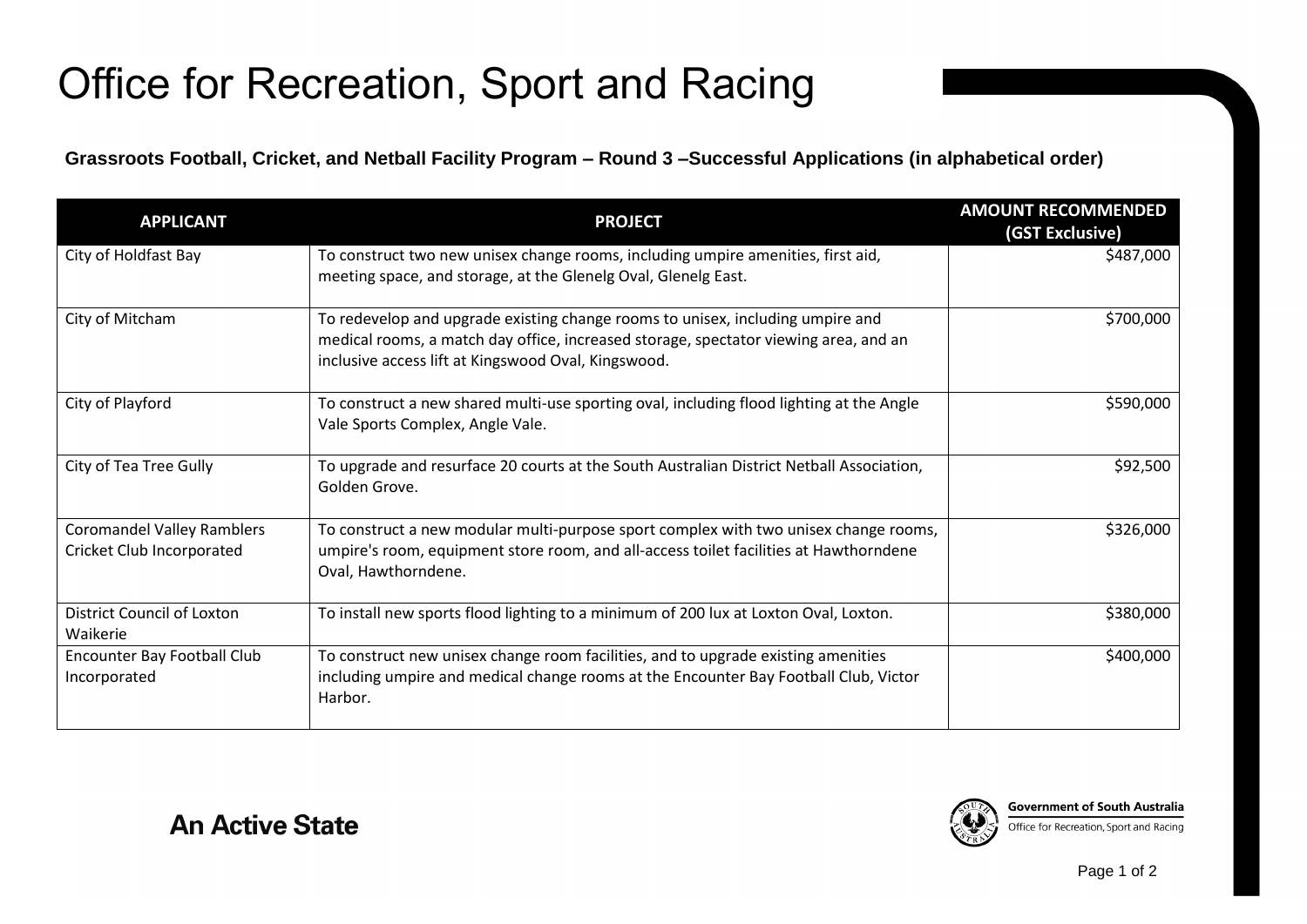## Office for Recreation, Sport and Racing

**Grassroots Football, Cricket, and Netball Facility Program – Round 3 –Successful Applications (in alphabetical order)**

| <b>APPLICANT</b>                                               | <b>PROJECT</b>                                                                                                                                                                                                                | <b>AMOUNT RECOMMENDED</b><br>(GST Exclusive) |
|----------------------------------------------------------------|-------------------------------------------------------------------------------------------------------------------------------------------------------------------------------------------------------------------------------|----------------------------------------------|
| City of Holdfast Bay                                           | To construct two new unisex change rooms, including umpire amenities, first aid,<br>meeting space, and storage, at the Glenelg Oval, Glenelg East.                                                                            | \$487,000                                    |
| City of Mitcham                                                | To redevelop and upgrade existing change rooms to unisex, including umpire and<br>medical rooms, a match day office, increased storage, spectator viewing area, and an<br>inclusive access lift at Kingswood Oval, Kingswood. | \$700,000                                    |
| City of Playford                                               | To construct a new shared multi-use sporting oval, including flood lighting at the Angle<br>Vale Sports Complex, Angle Vale.                                                                                                  | \$590,000                                    |
| City of Tea Tree Gully                                         | To upgrade and resurface 20 courts at the South Australian District Netball Association,<br>Golden Grove.                                                                                                                     | \$92,500                                     |
| <b>Coromandel Valley Ramblers</b><br>Cricket Club Incorporated | To construct a new modular multi-purpose sport complex with two unisex change rooms,<br>umpire's room, equipment store room, and all-access toilet facilities at Hawthorndene<br>Oval, Hawthorndene.                          | \$326,000                                    |
| District Council of Loxton<br>Waikerie                         | To install new sports flood lighting to a minimum of 200 lux at Loxton Oval, Loxton.                                                                                                                                          | \$380,000                                    |
| <b>Encounter Bay Football Club</b><br>Incorporated             | To construct new unisex change room facilities, and to upgrade existing amenities<br>including umpire and medical change rooms at the Encounter Bay Football Club, Victor<br>Harbor.                                          | \$400,000                                    |